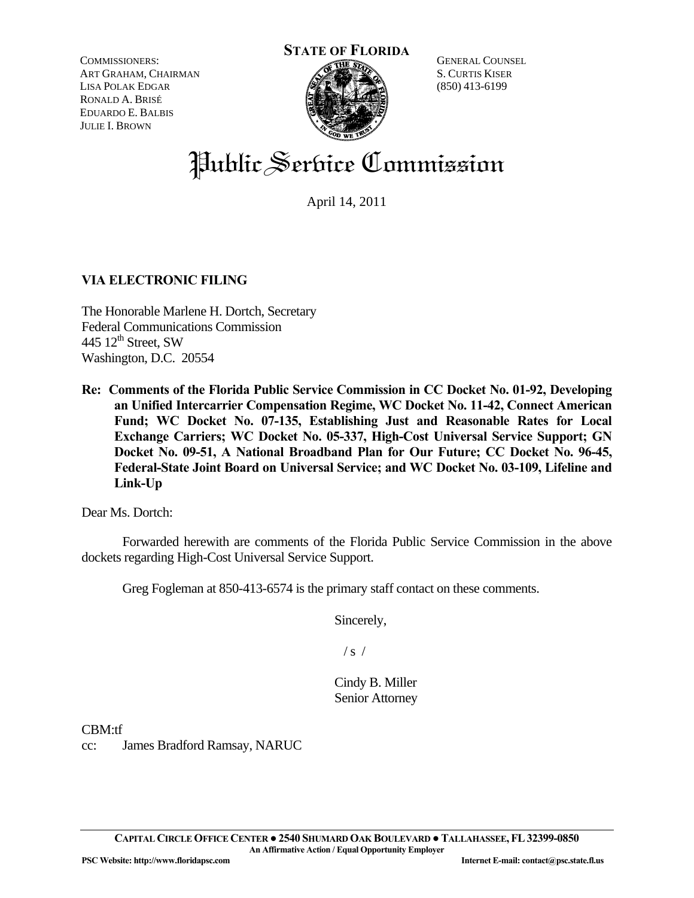COMMISSIONERS: ART GRAHAM, CHAIRMAN LISA POLAK EDGAR RONALD A. BRISÉ EDUARDO E. BALBIS JULIE I. BROWN



GENERAL COUNSEL S. CURTIS KISER (850) 413-6199

# Public Service Commission

April 14, 2011

# **VIA ELECTRONIC FILING**

The Honorable Marlene H. Dortch, Secretary Federal Communications Commission 445  $12^{\text{th}}$  Street, SW Washington, D.C. 20554

**Re: Comments of the Florida Public Service Commission in CC Docket No. 01-92, Developing an Unified Intercarrier Compensation Regime, WC Docket No. 11-42, Connect American Fund; WC Docket No. 07-135, Establishing Just and Reasonable Rates for Local Exchange Carriers; WC Docket No. 05-337, High-Cost Universal Service Support; GN Docket No. 09-51, A National Broadband Plan for Our Future; CC Docket No. 96-45, Federal-State Joint Board on Universal Service; and WC Docket No. 03-109, Lifeline and Link-Up** 

Dear Ms. Dortch:

 Forwarded herewith are comments of the Florida Public Service Commission in the above dockets regarding High-Cost Universal Service Support.

Greg Fogleman at 850-413-6574 is the primary staff contact on these comments.

Sincerely,

 $/s /$ 

Cindy B. Miller Senior Attorney

CBM:tf

cc: James Bradford Ramsay, NARUC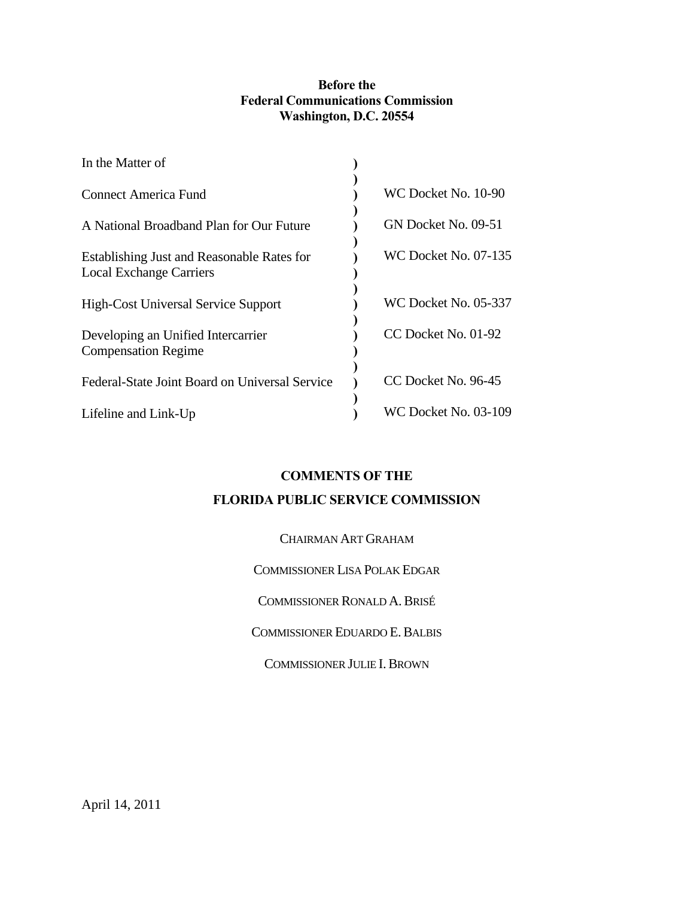# **Before the Federal Communications Commission Washington, D.C. 20554**

| In the Matter of                                                             |                      |
|------------------------------------------------------------------------------|----------------------|
| Connect America Fund                                                         | WC Docket No. 10-90  |
| A National Broadband Plan for Our Future                                     | GN Docket No. 09-51  |
| Establishing Just and Reasonable Rates for<br><b>Local Exchange Carriers</b> | WC Docket No. 07-135 |
| <b>High-Cost Universal Service Support</b>                                   | WC Docket No. 05-337 |
| Developing an Unified Intercarrier<br><b>Compensation Regime</b>             | CC Docket No. 01-92  |
| Federal-State Joint Board on Universal Service                               | CC Docket No. 96-45  |
| Lifeline and Link-Up                                                         | WC Docket No. 03-109 |

# **COMMENTS OF THE**

# **FLORIDA PUBLIC SERVICE COMMISSION**

| CHAIRMAN ART GRAHAM                 |  |
|-------------------------------------|--|
| COMMISSIONER LISA POLAK EDGAR       |  |
| <b>COMMISSIONER RONALD A. BRISÉ</b> |  |
| COMMISSIONER EDUARDO E. BALBIS      |  |
| <b>COMMISSIONER JULIE I. BROWN</b>  |  |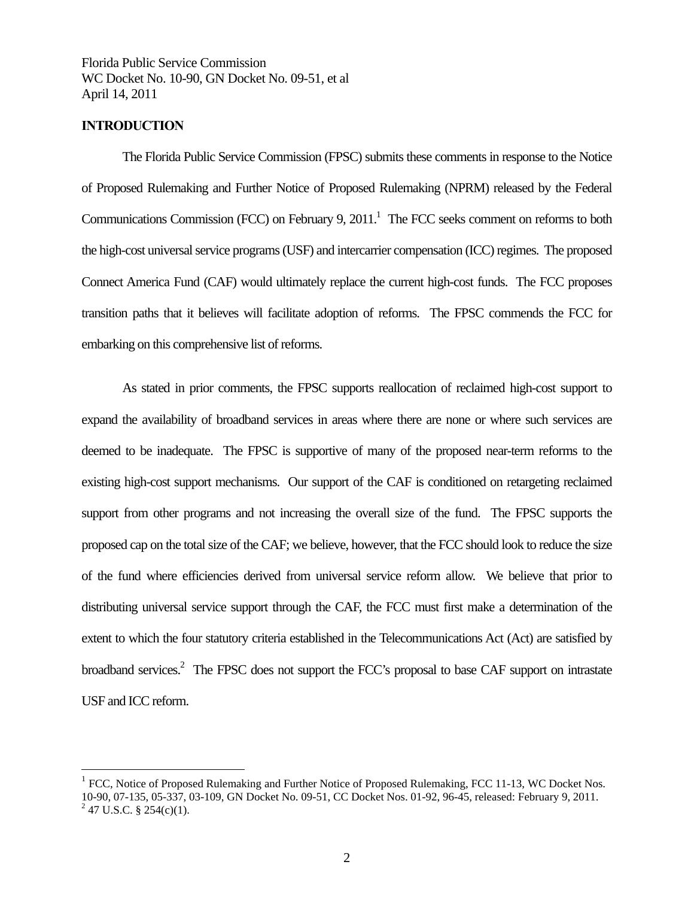## **INTRODUCTION**

 $\overline{a}$ 

The Florida Public Service Commission (FPSC) submits these comments in response to the Notice of Proposed Rulemaking and Further Notice of Proposed Rulemaking (NPRM) released by the Federal Communications Commission (FCC) on February 9,  $2011<sup>1</sup>$  The FCC seeks comment on reforms to both the high-cost universal service programs (USF) and intercarrier compensation (ICC) regimes. The proposed Connect America Fund (CAF) would ultimately replace the current high-cost funds. The FCC proposes transition paths that it believes will facilitate adoption of reforms. The FPSC commends the FCC for embarking on this comprehensive list of reforms.

 As stated in prior comments, the FPSC supports reallocation of reclaimed high-cost support to expand the availability of broadband services in areas where there are none or where such services are deemed to be inadequate. The FPSC is supportive of many of the proposed near-term reforms to the existing high-cost support mechanisms. Our support of the CAF is conditioned on retargeting reclaimed support from other programs and not increasing the overall size of the fund. The FPSC supports the proposed cap on the total size of the CAF; we believe, however, that the FCC should look to reduce the size of the fund where efficiencies derived from universal service reform allow. We believe that prior to distributing universal service support through the CAF, the FCC must first make a determination of the extent to which the four statutory criteria established in the Telecommunications Act (Act) are satisfied by broadband services.<sup>2</sup> The FPSC does not support the FCC's proposal to base CAF support on intrastate USF and ICC reform.

 $1$  FCC, Notice of Proposed Rulemaking and Further Notice of Proposed Rulemaking, FCC 11-13, WC Docket Nos. 10-90, 07-135, 05-337, 03-109, GN Docket No. 09-51, CC Docket Nos. 01-92, 96-45, released: February 9, 2011.  $^{2}$  47 U.S.C. § 254(c)(1).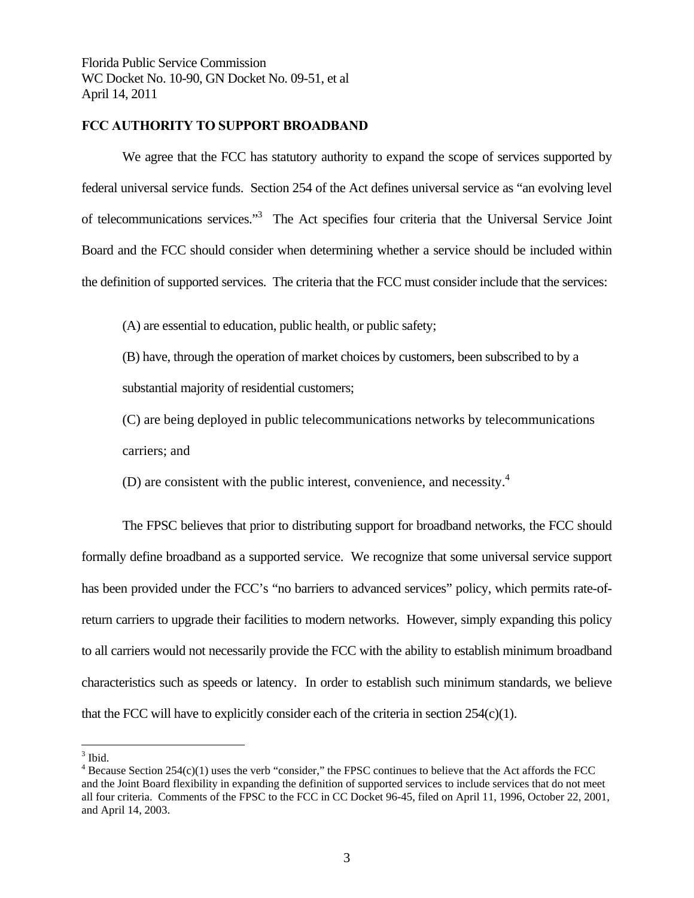## **FCC AUTHORITY TO SUPPORT BROADBAND**

We agree that the FCC has statutory authority to expand the scope of services supported by federal universal service funds. Section 254 of the Act defines universal service as "an evolving level of telecommunications services."<sup>3</sup> The Act specifies four criteria that the Universal Service Joint Board and the FCC should consider when determining whether a service should be included within the definition of supported services. The criteria that the FCC must consider include that the services:

(A) are essential to education, public health, or public safety;

(B) have, through the operation of market choices by customers, been subscribed to by a substantial majority of residential customers;

(C) are being deployed in public telecommunications networks by telecommunications carriers; and

(D) are consistent with the public interest, convenience, and necessity. $4$ 

 The FPSC believes that prior to distributing support for broadband networks, the FCC should formally define broadband as a supported service. We recognize that some universal service support has been provided under the FCC's "no barriers to advanced services" policy, which permits rate-ofreturn carriers to upgrade their facilities to modern networks. However, simply expanding this policy to all carriers would not necessarily provide the FCC with the ability to establish minimum broadband characteristics such as speeds or latency. In order to establish such minimum standards, we believe that the FCC will have to explicitly consider each of the criteria in section 254(c)(1).

<sup>&</sup>lt;sup>3</sup> Ibid.

 $4$  Because Section 254(c)(1) uses the verb "consider," the FPSC continues to believe that the Act affords the FCC and the Joint Board flexibility in expanding the definition of supported services to include services that do not meet all four criteria. Comments of the FPSC to the FCC in CC Docket 96-45, filed on April 11, 1996, October 22, 2001, and April 14, 2003.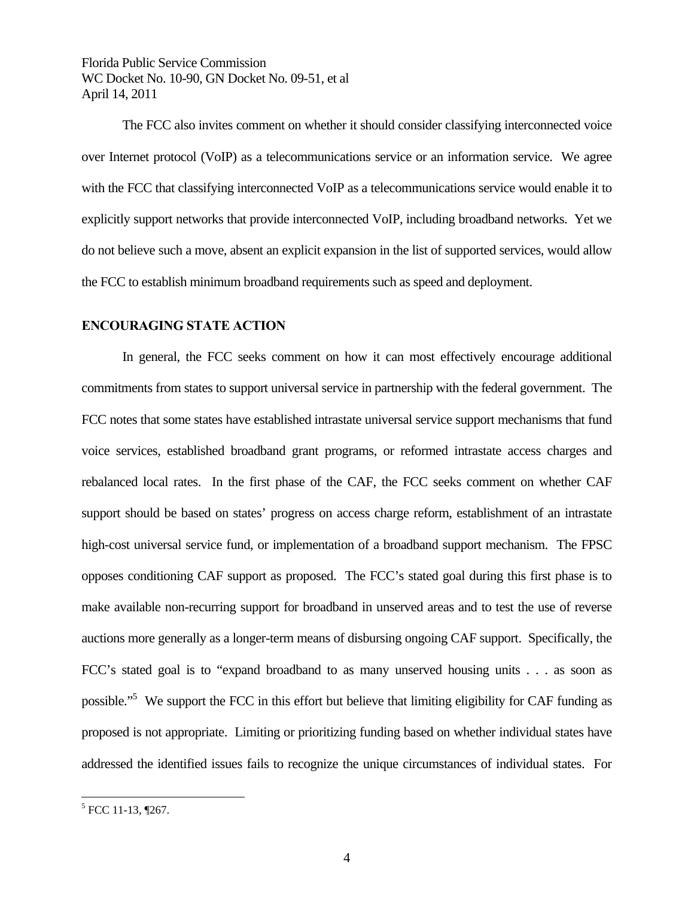The FCC also invites comment on whether it should consider classifying interconnected voice over Internet protocol (VoIP) as a telecommunications service or an information service. We agree with the FCC that classifying interconnected VoIP as a telecommunications service would enable it to explicitly support networks that provide interconnected VoIP, including broadband networks. Yet we do not believe such a move, absent an explicit expansion in the list of supported services, would allow the FCC to establish minimum broadband requirements such as speed and deployment.

## **ENCOURAGING STATE ACTION**

 In general, the FCC seeks comment on how it can most effectively encourage additional commitments from states to support universal service in partnership with the federal government. The FCC notes that some states have established intrastate universal service support mechanisms that fund voice services, established broadband grant programs, or reformed intrastate access charges and rebalanced local rates. In the first phase of the CAF, the FCC seeks comment on whether CAF support should be based on states' progress on access charge reform, establishment of an intrastate high-cost universal service fund, or implementation of a broadband support mechanism. The FPSC opposes conditioning CAF support as proposed. The FCC's stated goal during this first phase is to make available non-recurring support for broadband in unserved areas and to test the use of reverse auctions more generally as a longer-term means of disbursing ongoing CAF support. Specifically, the FCC's stated goal is to "expand broadband to as many unserved housing units . . . as soon as possible."<sup>5</sup> We support the FCC in this effort but believe that limiting eligibility for CAF funding as proposed is not appropriate. Limiting or prioritizing funding based on whether individual states have addressed the identified issues fails to recognize the unique circumstances of individual states. For

 5 FCC 11-13, ¶267.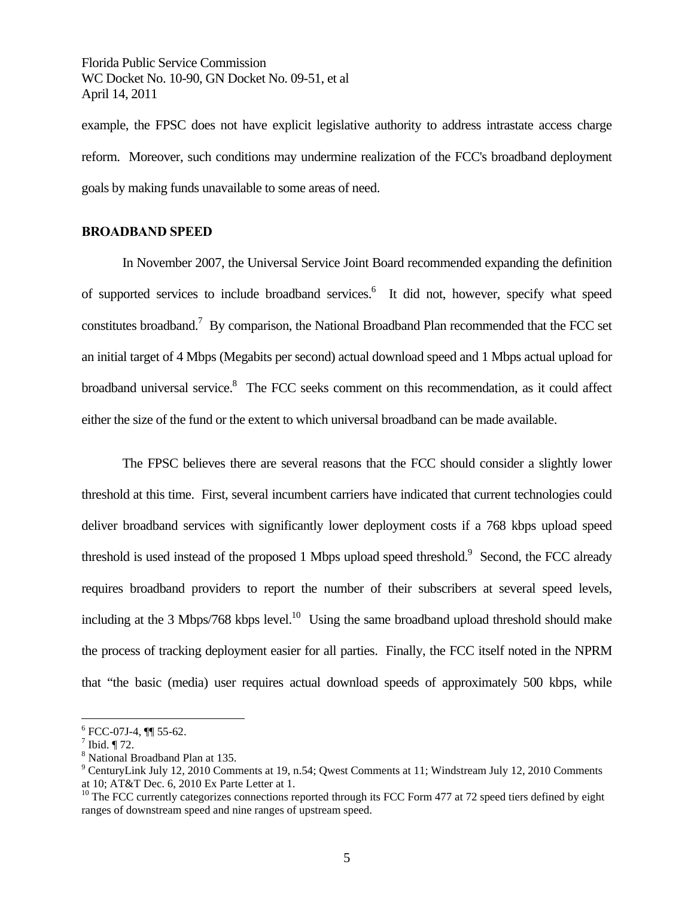example, the FPSC does not have explicit legislative authority to address intrastate access charge reform. Moreover, such conditions may undermine realization of the FCC's broadband deployment goals by making funds unavailable to some areas of need.

## **BROADBAND SPEED**

 In November 2007, the Universal Service Joint Board recommended expanding the definition of supported services to include broadband services.<sup>6</sup> It did not, however, specify what speed constitutes broadband.<sup>7</sup> By comparison, the National Broadband Plan recommended that the FCC set an initial target of 4 Mbps (Megabits per second) actual download speed and 1 Mbps actual upload for broadband universal service.<sup>8</sup> The FCC seeks comment on this recommendation, as it could affect either the size of the fund or the extent to which universal broadband can be made available.

 The FPSC believes there are several reasons that the FCC should consider a slightly lower threshold at this time. First, several incumbent carriers have indicated that current technologies could deliver broadband services with significantly lower deployment costs if a 768 kbps upload speed threshold is used instead of the proposed 1 Mbps upload speed threshold.<sup>9</sup> Second, the FCC already requires broadband providers to report the number of their subscribers at several speed levels, including at the 3 Mbps/768 kbps level.<sup>10</sup> Using the same broadband upload threshold should make the process of tracking deployment easier for all parties. Finally, the FCC itself noted in the NPRM that "the basic (media) user requires actual download speeds of approximately 500 kbps, while

 $6$  FCC-07J-4,  $\P\P$  55-62.

 $^7$  Ibid. ¶ 72.

<sup>8</sup> National Broadband Plan at 135.

<sup>&</sup>lt;sup>9</sup> CenturyLink July 12, 2010 Comments at 19, n.54; Qwest Comments at 11; Windstream July 12, 2010 Comments at 10; AT&T Dec. 6, 2010 Ex Parte Letter at 1.

<sup>&</sup>lt;sup>10</sup> The FCC currently categorizes connections reported through its FCC Form 477 at 72 speed tiers defined by eight ranges of downstream speed and nine ranges of upstream speed.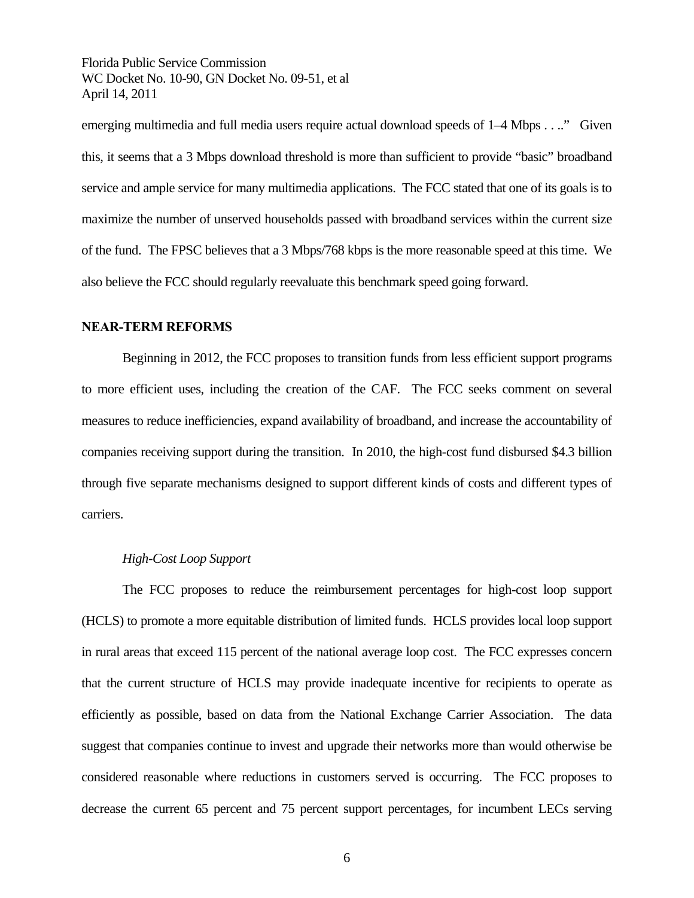emerging multimedia and full media users require actual download speeds of 1–4 Mbps . . .." Given this, it seems that a 3 Mbps download threshold is more than sufficient to provide "basic" broadband service and ample service for many multimedia applications. The FCC stated that one of its goals is to maximize the number of unserved households passed with broadband services within the current size of the fund. The FPSC believes that a 3 Mbps/768 kbps is the more reasonable speed at this time. We also believe the FCC should regularly reevaluate this benchmark speed going forward.

#### **NEAR-TERM REFORMS**

Beginning in 2012, the FCC proposes to transition funds from less efficient support programs to more efficient uses, including the creation of the CAF. The FCC seeks comment on several measures to reduce inefficiencies, expand availability of broadband, and increase the accountability of companies receiving support during the transition. In 2010, the high-cost fund disbursed \$4.3 billion through five separate mechanisms designed to support different kinds of costs and different types of carriers.

#### *High-Cost Loop Support*

The FCC proposes to reduce the reimbursement percentages for high-cost loop support (HCLS) to promote a more equitable distribution of limited funds. HCLS provides local loop support in rural areas that exceed 115 percent of the national average loop cost. The FCC expresses concern that the current structure of HCLS may provide inadequate incentive for recipients to operate as efficiently as possible, based on data from the National Exchange Carrier Association. The data suggest that companies continue to invest and upgrade their networks more than would otherwise be considered reasonable where reductions in customers served is occurring. The FCC proposes to decrease the current 65 percent and 75 percent support percentages, for incumbent LECs serving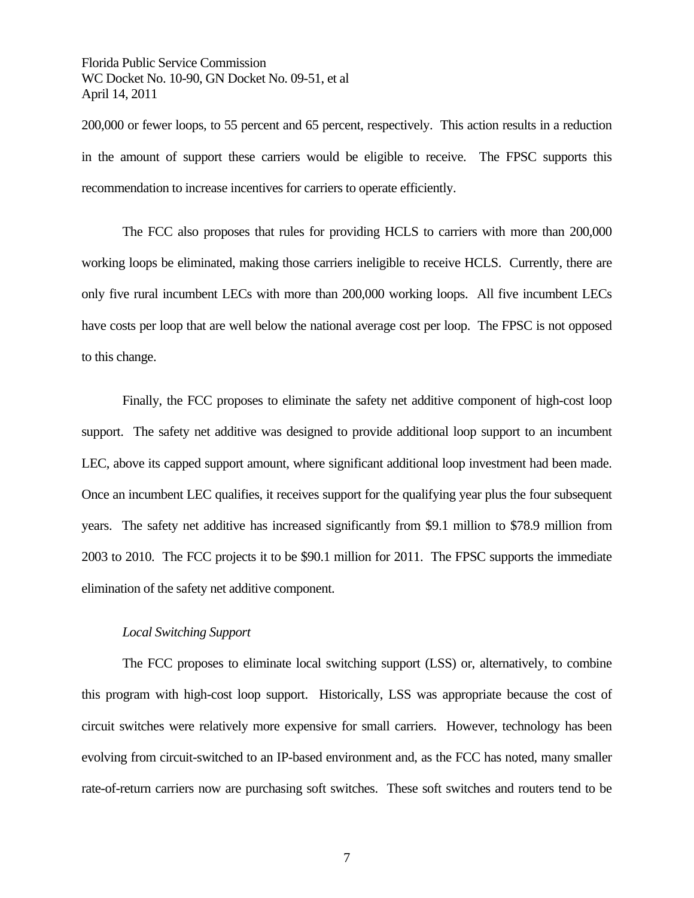200,000 or fewer loops, to 55 percent and 65 percent, respectively. This action results in a reduction in the amount of support these carriers would be eligible to receive. The FPSC supports this recommendation to increase incentives for carriers to operate efficiently.

The FCC also proposes that rules for providing HCLS to carriers with more than 200,000 working loops be eliminated, making those carriers ineligible to receive HCLS. Currently, there are only five rural incumbent LECs with more than 200,000 working loops. All five incumbent LECs have costs per loop that are well below the national average cost per loop. The FPSC is not opposed to this change.

Finally, the FCC proposes to eliminate the safety net additive component of high-cost loop support. The safety net additive was designed to provide additional loop support to an incumbent LEC, above its capped support amount, where significant additional loop investment had been made. Once an incumbent LEC qualifies, it receives support for the qualifying year plus the four subsequent years. The safety net additive has increased significantly from \$9.1 million to \$78.9 million from 2003 to 2010. The FCC projects it to be \$90.1 million for 2011. The FPSC supports the immediate elimination of the safety net additive component.

## *Local Switching Support*

The FCC proposes to eliminate local switching support (LSS) or, alternatively, to combine this program with high-cost loop support. Historically, LSS was appropriate because the cost of circuit switches were relatively more expensive for small carriers. However, technology has been evolving from circuit-switched to an IP-based environment and, as the FCC has noted, many smaller rate-of-return carriers now are purchasing soft switches. These soft switches and routers tend to be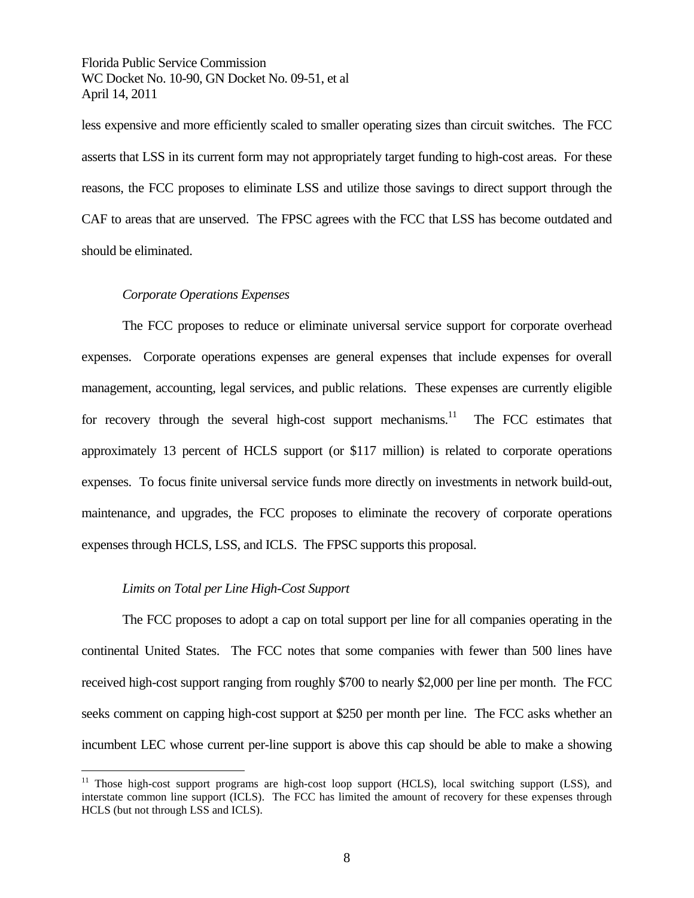less expensive and more efficiently scaled to smaller operating sizes than circuit switches. The FCC asserts that LSS in its current form may not appropriately target funding to high-cost areas. For these reasons, the FCC proposes to eliminate LSS and utilize those savings to direct support through the CAF to areas that are unserved. The FPSC agrees with the FCC that LSS has become outdated and should be eliminated.

#### *Corporate Operations Expenses*

The FCC proposes to reduce or eliminate universal service support for corporate overhead expenses. Corporate operations expenses are general expenses that include expenses for overall management, accounting, legal services, and public relations. These expenses are currently eligible for recovery through the several high-cost support mechanisms.<sup>11</sup> The FCC estimates that approximately 13 percent of HCLS support (or \$117 million) is related to corporate operations expenses. To focus finite universal service funds more directly on investments in network build-out, maintenance, and upgrades, the FCC proposes to eliminate the recovery of corporate operations expenses through HCLS, LSS, and ICLS. The FPSC supports this proposal.

#### *Limits on Total per Line High-Cost Support*

 $\overline{a}$ 

The FCC proposes to adopt a cap on total support per line for all companies operating in the continental United States. The FCC notes that some companies with fewer than 500 lines have received high-cost support ranging from roughly \$700 to nearly \$2,000 per line per month. The FCC seeks comment on capping high-cost support at \$250 per month per line. The FCC asks whether an incumbent LEC whose current per-line support is above this cap should be able to make a showing

 $11$  Those high-cost support programs are high-cost loop support (HCLS), local switching support (LSS), and interstate common line support (ICLS). The FCC has limited the amount of recovery for these expenses through HCLS (but not through LSS and ICLS).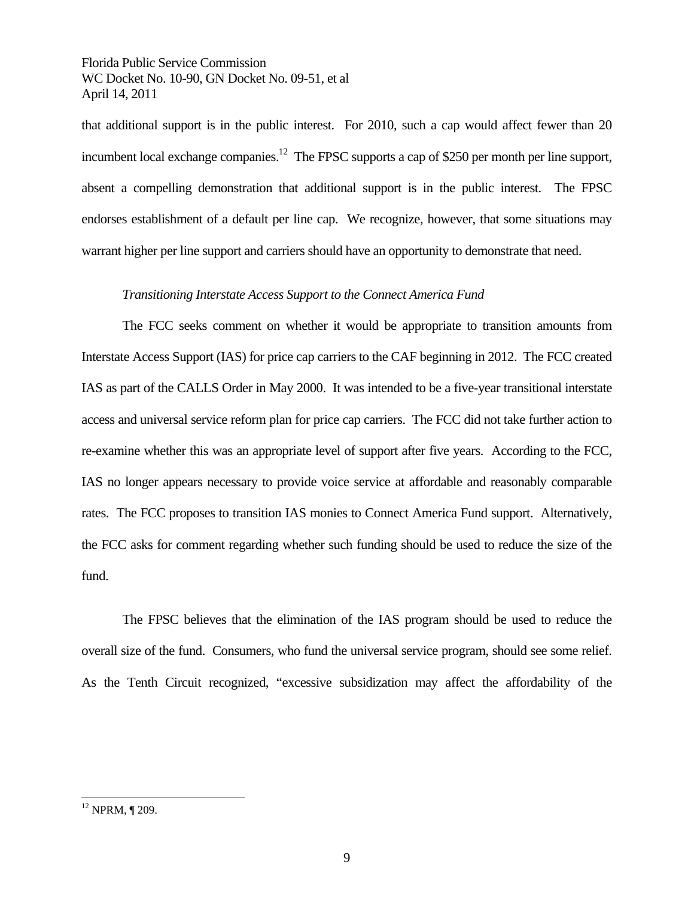that additional support is in the public interest. For 2010, such a cap would affect fewer than 20 incumbent local exchange companies.<sup>12</sup> The FPSC supports a cap of \$250 per month per line support, absent a compelling demonstration that additional support is in the public interest. The FPSC endorses establishment of a default per line cap. We recognize, however, that some situations may warrant higher per line support and carriers should have an opportunity to demonstrate that need.

#### *Transitioning Interstate Access Support to the Connect America Fund*

The FCC seeks comment on whether it would be appropriate to transition amounts from Interstate Access Support (IAS) for price cap carriers to the CAF beginning in 2012. The FCC created IAS as part of the CALLS Order in May 2000. It was intended to be a five-year transitional interstate access and universal service reform plan for price cap carriers. The FCC did not take further action to re-examine whether this was an appropriate level of support after five years. According to the FCC, IAS no longer appears necessary to provide voice service at affordable and reasonably comparable rates. The FCC proposes to transition IAS monies to Connect America Fund support. Alternatively, the FCC asks for comment regarding whether such funding should be used to reduce the size of the fund.

The FPSC believes that the elimination of the IAS program should be used to reduce the overall size of the fund. Consumers, who fund the universal service program, should see some relief. As the Tenth Circuit recognized, "excessive subsidization may affect the affordability of the

 $12$  NPRM,  $\P$  209.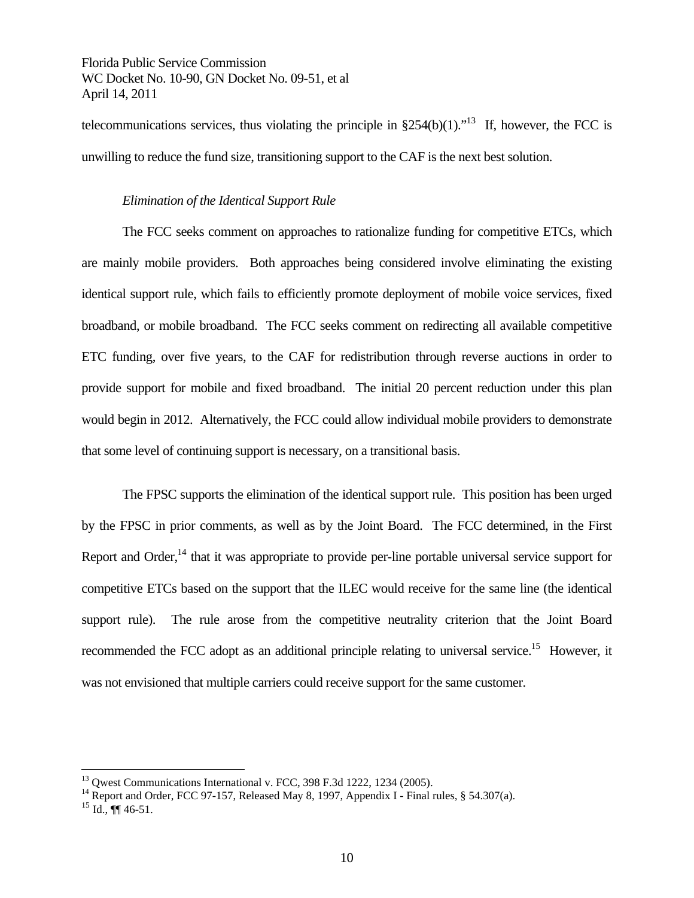telecommunications services, thus violating the principle in  $\S254(b)(1)$ ."<sup>13</sup> If, however, the FCC is unwilling to reduce the fund size, transitioning support to the CAF is the next best solution.

#### *Elimination of the Identical Support Rule*

The FCC seeks comment on approaches to rationalize funding for competitive ETCs, which are mainly mobile providers. Both approaches being considered involve eliminating the existing identical support rule, which fails to efficiently promote deployment of mobile voice services, fixed broadband, or mobile broadband. The FCC seeks comment on redirecting all available competitive ETC funding, over five years, to the CAF for redistribution through reverse auctions in order to provide support for mobile and fixed broadband. The initial 20 percent reduction under this plan would begin in 2012. Alternatively, the FCC could allow individual mobile providers to demonstrate that some level of continuing support is necessary, on a transitional basis.

The FPSC supports the elimination of the identical support rule. This position has been urged by the FPSC in prior comments, as well as by the Joint Board. The FCC determined, in the First Report and Order,<sup>14</sup> that it was appropriate to provide per-line portable universal service support for competitive ETCs based on the support that the ILEC would receive for the same line (the identical support rule). The rule arose from the competitive neutrality criterion that the Joint Board recommended the FCC adopt as an additional principle relating to universal service.<sup>15</sup> However, it was not envisioned that multiple carriers could receive support for the same customer.

1

<sup>&</sup>lt;sup>13</sup> Qwest Communications International v. FCC, 398 F.3d 1222, 1234 (2005).

<sup>&</sup>lt;sup>14</sup> Report and Order, FCC 97-157, Released May 8, 1997, Appendix I - Final rules, § 54.307(a).

 $^{15}$  Id.,  $\P\P$  46-51.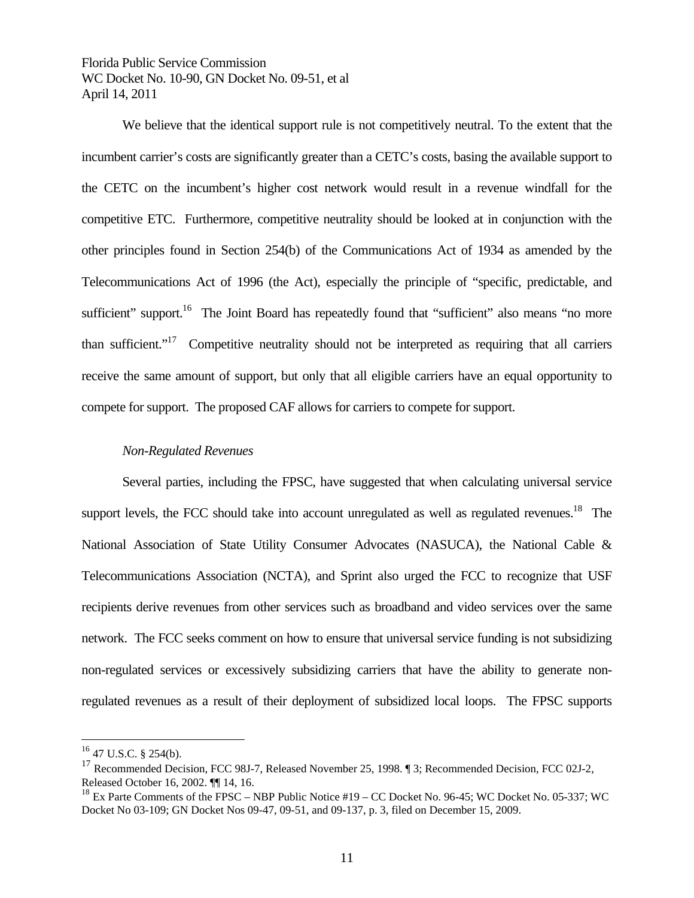We believe that the identical support rule is not competitively neutral. To the extent that the incumbent carrier's costs are significantly greater than a CETC's costs, basing the available support to the CETC on the incumbent's higher cost network would result in a revenue windfall for the competitive ETC. Furthermore, competitive neutrality should be looked at in conjunction with the other principles found in Section 254(b) of the Communications Act of 1934 as amended by the Telecommunications Act of 1996 (the Act), especially the principle of "specific, predictable, and sufficient" support.<sup>16</sup> The Joint Board has repeatedly found that "sufficient" also means "no more than sufficient."<sup>17</sup> Competitive neutrality should not be interpreted as requiring that all carriers receive the same amount of support, but only that all eligible carriers have an equal opportunity to compete for support. The proposed CAF allows for carriers to compete for support.

## *Non-Regulated Revenues*

Several parties, including the FPSC, have suggested that when calculating universal service support levels, the FCC should take into account unregulated as well as regulated revenues.<sup>18</sup> The National Association of State Utility Consumer Advocates (NASUCA), the National Cable & Telecommunications Association (NCTA), and Sprint also urged the FCC to recognize that USF recipients derive revenues from other services such as broadband and video services over the same network. The FCC seeks comment on how to ensure that universal service funding is not subsidizing non-regulated services or excessively subsidizing carriers that have the ability to generate nonregulated revenues as a result of their deployment of subsidized local loops. The FPSC supports

 $16$  47 U.S.C. § 254(b).

<sup>&</sup>lt;sup>17</sup> Recommended Decision, FCC 98J-7, Released November 25, 1998. ¶ 3; Recommended Decision, FCC 02J-2, Released October 16, 2002. ¶¶ 14, 16.

 $^{18}$  Ex Parte Comments of the FPSC – NBP Public Notice #19 – CC Docket No. 96-45; WC Docket No. 05-337; WC Docket No 03-109; GN Docket Nos 09-47, 09-51, and 09-137, p. 3, filed on December 15, 2009.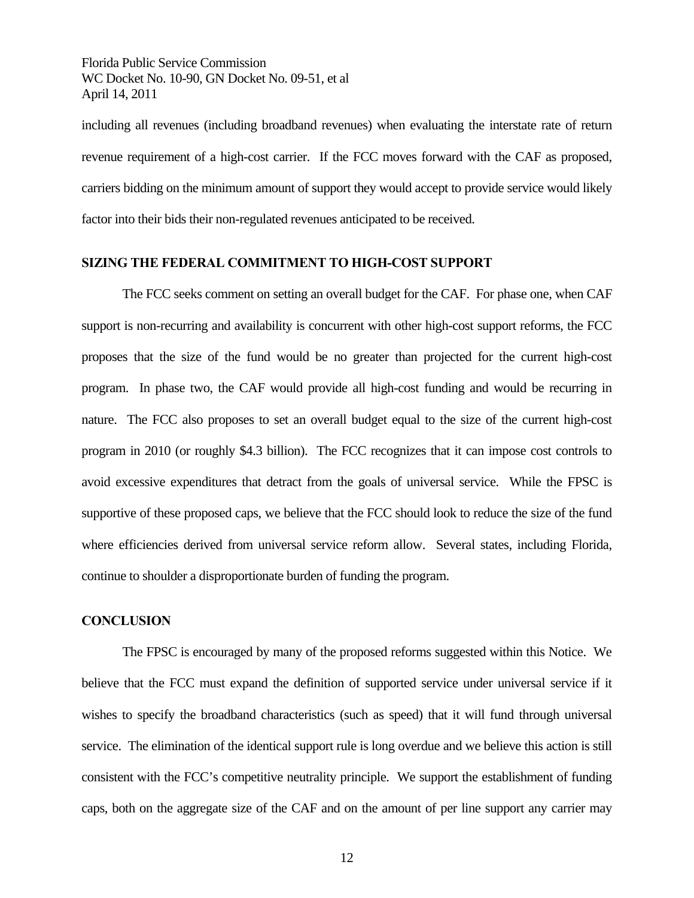including all revenues (including broadband revenues) when evaluating the interstate rate of return revenue requirement of a high-cost carrier. If the FCC moves forward with the CAF as proposed, carriers bidding on the minimum amount of support they would accept to provide service would likely factor into their bids their non-regulated revenues anticipated to be received.

## **SIZING THE FEDERAL COMMITMENT TO HIGH-COST SUPPORT**

The FCC seeks comment on setting an overall budget for the CAF. For phase one, when CAF support is non-recurring and availability is concurrent with other high-cost support reforms, the FCC proposes that the size of the fund would be no greater than projected for the current high-cost program. In phase two, the CAF would provide all high-cost funding and would be recurring in nature. The FCC also proposes to set an overall budget equal to the size of the current high-cost program in 2010 (or roughly \$4.3 billion). The FCC recognizes that it can impose cost controls to avoid excessive expenditures that detract from the goals of universal service. While the FPSC is supportive of these proposed caps, we believe that the FCC should look to reduce the size of the fund where efficiencies derived from universal service reform allow. Several states, including Florida, continue to shoulder a disproportionate burden of funding the program.

#### **CONCLUSION**

 The FPSC is encouraged by many of the proposed reforms suggested within this Notice. We believe that the FCC must expand the definition of supported service under universal service if it wishes to specify the broadband characteristics (such as speed) that it will fund through universal service. The elimination of the identical support rule is long overdue and we believe this action is still consistent with the FCC's competitive neutrality principle. We support the establishment of funding caps, both on the aggregate size of the CAF and on the amount of per line support any carrier may